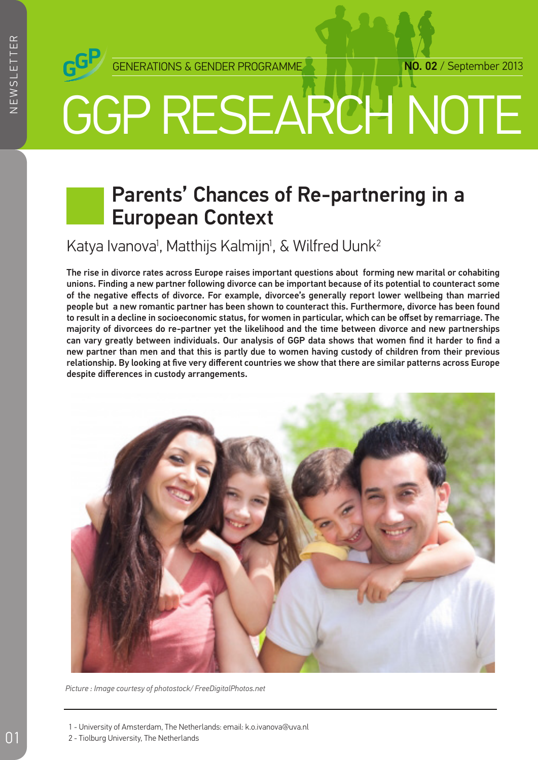

# GGP RESEARCH NOTE

## Parents' Chances of Re-partnering in a European Context

Katya Ivanova<sup>ı</sup>, Matthijs Kalmijn<sup>ı</sup>, & Wilfred Uunk<sup>2</sup>

The rise in divorce rates across Europe raises important questions about forming new marital or cohabiting unions. Finding a new partner following divorce can be important because of its potential to counteract some of the negative effects of divorce. For example, divorcee's generally report lower wellbeing than married people but a new romantic partner has been shown to counteract this. Furthermore, divorce has been found to result in a decline in socioeconomic status, for women in particular, which can be offset by remarriage. The majority of divorcees do re-partner yet the likelihood and the time between divorce and new partnerships can vary greatly between individuals. Our analysis of GGP data shows that women find it harder to find a new partner than men and that this is partly due to women having custody of children from their previous relationship. By looking at five very different countries we show that there are similar patterns across Europe despite differences in custody arrangements.



*Picture : Image courtesy of photostock/ FreeDigitalPhotos.net*

- 1 University of Amsterdam, The Netherlands: email: k.o.ivanova@uva.nl
- 2 Tiolburg University, The Netherlands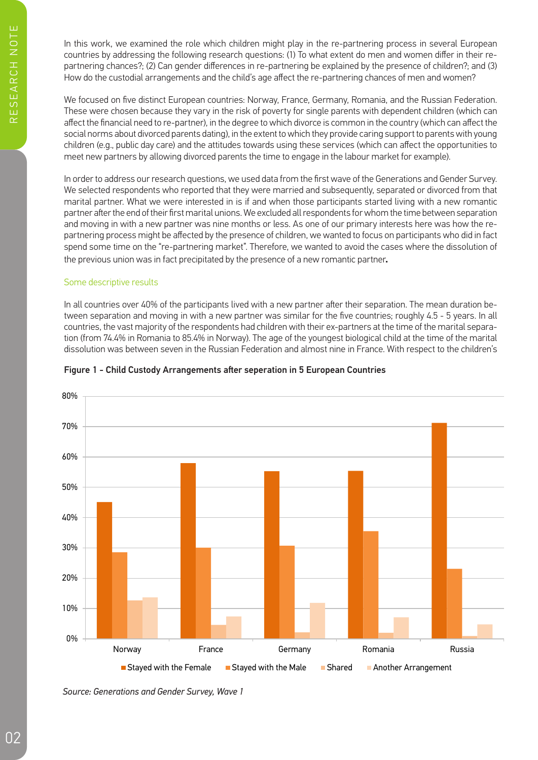In this work, we examined the role which children might play in the re-partnering process in several European countries by addressing the following research questions: (1) To what extent do men and women differ in their repartnering chances?; (2) Can gender differences in re-partnering be explained by the presence of children?; and (3) How do the custodial arrangements and the child's age affect the re-partnering chances of men and women?

We focused on five distinct European countries: Norway, France, Germany, Romania, and the Russian Federation. These were chosen because they vary in the risk of poverty for single parents with dependent children (which can affect the financial need to re-partner), in the degree to which divorce is common in the country (which can affect the social norms about divorced parents dating), in the extent to which they provide caring support to parents with young children (e.g., public day care) and the attitudes towards using these services (which can affect the opportunities to meet new partners by allowing divorced parents the time to engage in the labour market for example).

In order to address our research questions, we used data from the first wave of the Generations and Gender Survey. We selected respondents who reported that they were married and subsequently, separated or divorced from that marital partner. What we were interested in is if and when those participants started living with a new romantic partner after the end of their first marital unions. We excluded all respondents for whom the time between separation and moving in with a new partner was nine months or less. As one of our primary interests here was how the repartnering process might be affected by the presence of children, we wanted to focus on participants who did in fact spend some time on the "re-partnering market". Therefore, we wanted to avoid the cases where the dissolution of the previous union was in fact precipitated by the presence of a new romantic partner.

#### Some descriptive results

In all countries over 40% of the participants lived with a new partner after their separation. The mean duration between separation and moving in with a new partner was similar for the five countries; roughly 4.5 - 5 years. In all countries, the vast majority of the respondents had children with their ex-partners at the time of the marital separation (from 74.4% in Romania to 85.4% in Norway). The age of the youngest biological child at the time of the marital dissolution was between seven in the Russian Federation and almost nine in France. With respect to the children's



#### Figure 1 - Child Custody Arrangements after seperation in 5 European Countries

*Source: Generations and Gender Survey, Wave 1*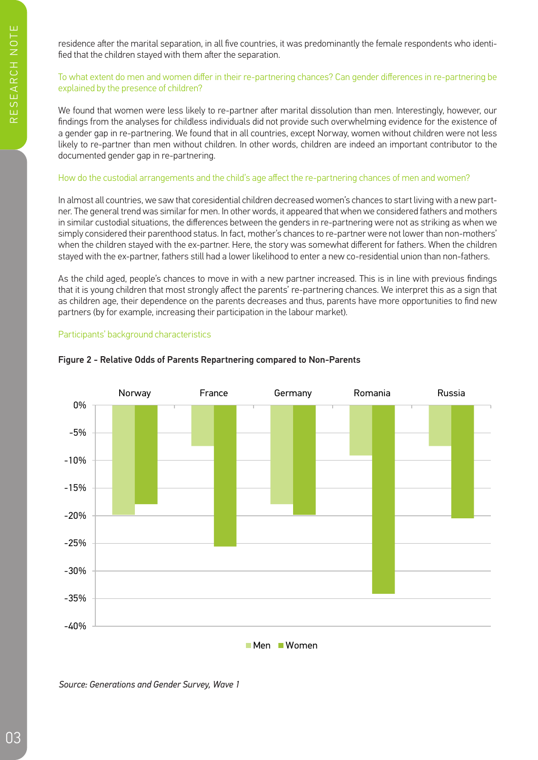residence after the marital separation, in all five countries, it was predominantly the female respondents who identified that the children stayed with them after the separation.

#### To what extent do men and women differ in their re-partnering chances? Can gender differences in re-partnering be explained by the presence of children?

We found that women were less likely to re-partner after marital dissolution than men. Interestingly, however, our findings from the analyses for childless individuals did not provide such overwhelming evidence for the existence of a gender gap in re-partnering. We found that in all countries, except Norway, women without children were not less likely to re-partner than men without children. In other words, children are indeed an important contributor to the documented gender gap in re-partnering.

#### How do the custodial arrangements and the child's age affect the re-partnering chances of men and women?

In almost all countries, we saw that coresidential children decreased women's chances to start living with a new partner. The general trend was similar for men. In other words, it appeared that when we considered fathers and mothers in similar custodial situations, the differences between the genders in re-partnering were not as striking as when we simply considered their parenthood status. In fact, mother's chances to re-partner were not lower than non-mothers' when the children stayed with the ex-partner. Here, the story was somewhat different for fathers. When the children stayed with the ex-partner, fathers still had a lower likelihood to enter a new co-residential union than non-fathers.

As the child aged, people's chances to move in with a new partner increased. This is in line with previous findings that it is young children that most strongly affect the parents' re-partnering chances. We interpret this as a sign that as children age, their dependence on the parents decreases and thus, parents have more opportunities to find new partners (by for example, increasing their participation in the labour market).

### Participants' background characteristics



#### Figure 2 - Relative Odds of Parents Repartnering compared to Non-Parents

*Source: Generations and Gender Survey, Wave 1*